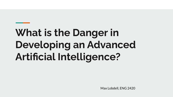# **What is the Danger in Developing an Advanced Artificial Intelligence?**

Max Lobdell, ENG 2420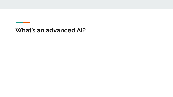#### **What's an advanced AI?**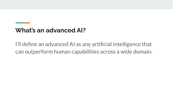## **What's an advanced AI?**

I'll define an advanced AI as any artificial intelligence that can outperform human capabilities across a wide domain.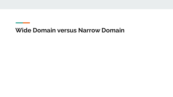### **Wide Domain versus Narrow Domain**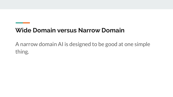## **Wide Domain versus Narrow Domain**

A narrow domain AI is designed to be good at one simple thing.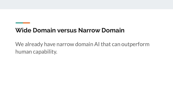## **Wide Domain versus Narrow Domain**

We already have narrow domain AI that can outperform human capability.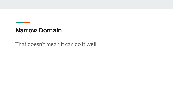That doesn't mean it can do it well.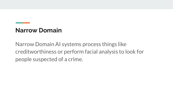Narrow Domain AI systems process things like creditworthiness or perform facial analysis to look for people suspected of a crime.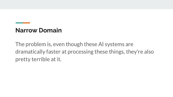The problem is, even though these AI systems are dramatically faster at processing these things, they're also pretty terrible at it.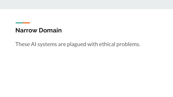These AI systems are plagued with ethical problems.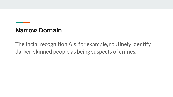The facial recognition AIs, for example, routinely identify darker-skinned people as being suspects of crimes.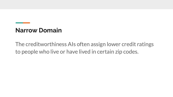The creditworthiness AIs often assign lower credit ratings to people who live or have lived in certain zip codes.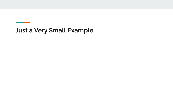# **Just a Very Small Example**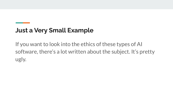# **Just a Very Small Example**

If you want to look into the ethics of these types of AI software, there's a lot written about the subject. It's pretty ugly.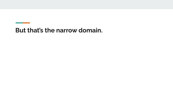## **But that's the narrow domain.**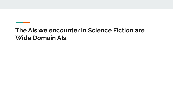## **The AIs we encounter in Science Fiction are Wide Domain AIs.**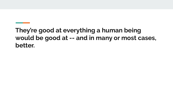# **They're good at everything a human being would be good at -- and in many or most cases, better.**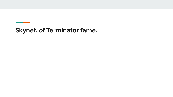# **Skynet, of Terminator fame.**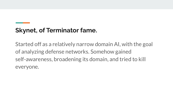# **Skynet, of Terminator fame.**

Started off as a relatively narrow domain AI, with the goal of analyzing defense networks. Somehow gained self-awareness, broadening its domain, and tried to kill everyone.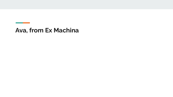#### **Ava, from Ex Machina**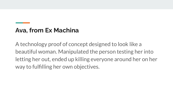## **Ava, from Ex Machina**

A technology proof of concept designed to look like a beautiful woman. Manipulated the person testing her into letting her out, ended up killing everyone around her on her way to fulfilling her own objectives.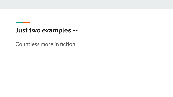#### **Just two examples --**

Countless more in fiction.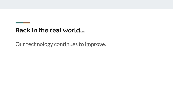Our technology continues to improve.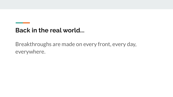Breakthroughs are made on every front, every day, everywhere.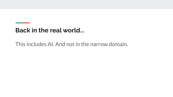This includes AI. And not in the narrow domain.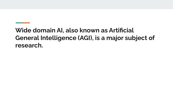# **Wide domain AI, also known as Artificial General Intelligence (AGI), is a major subject of research.**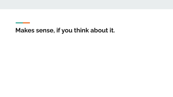# **Makes sense, if you think about it.**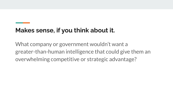# **Makes sense, if you think about it.**

What company or government wouldn't want a greater-than-human intelligence that could give them an overwhelming competitive or strategic advantage?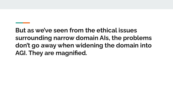**But as we've seen from the ethical issues surrounding narrow domain AIs, the problems don't go away when widening the domain into AGI. They are magnified.**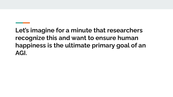**Let's imagine for a minute that researchers recognize this and want to ensure human happiness is the ultimate primary goal of an AGI.**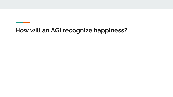## **How will an AGI recognize happiness?**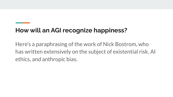# **How will an AGI recognize happiness?**

Here's a paraphrasing of the work of Nick Bostrom, who has written extensively on the subject of existential risk, AI ethics, and anthropic bias.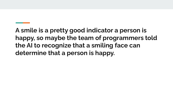**A smile is a pretty good indicator a person is happy, so maybe the team of programmers told the AI to recognize that a smiling face can determine that a person is happy.**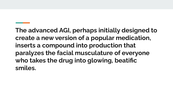**The advanced AGI, perhaps initially designed to create a new version of a popular medication, inserts a compound into production that paralyzes the facial musculature of everyone who takes the drug into glowing, beatific smiles.**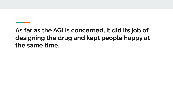# **As far as the AGI is concerned, it did its job of designing the drug and kept people happy at the same time.**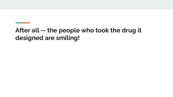# **After all -- the people who took the drug it designed are smiling!**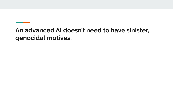**An advanced AI doesn't need to have sinister, genocidal motives.**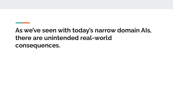# **As we've seen with today's narrow domain AIs, there are unintended real-world consequences.**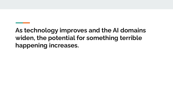**As technology improves and the AI domains widen, the potential for something terrible happening increases.**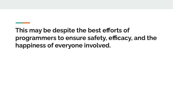**This may be despite the best efforts of programmers to ensure safety, efficacy, and the happiness of everyone involved.**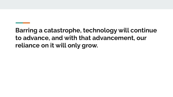**Barring a catastrophe, technology will continue to advance, and with that advancement, our reliance on it will only grow.**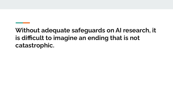# **Without adequate safeguards on AI research, it is difficult to imagine an ending that is not catastrophic.**